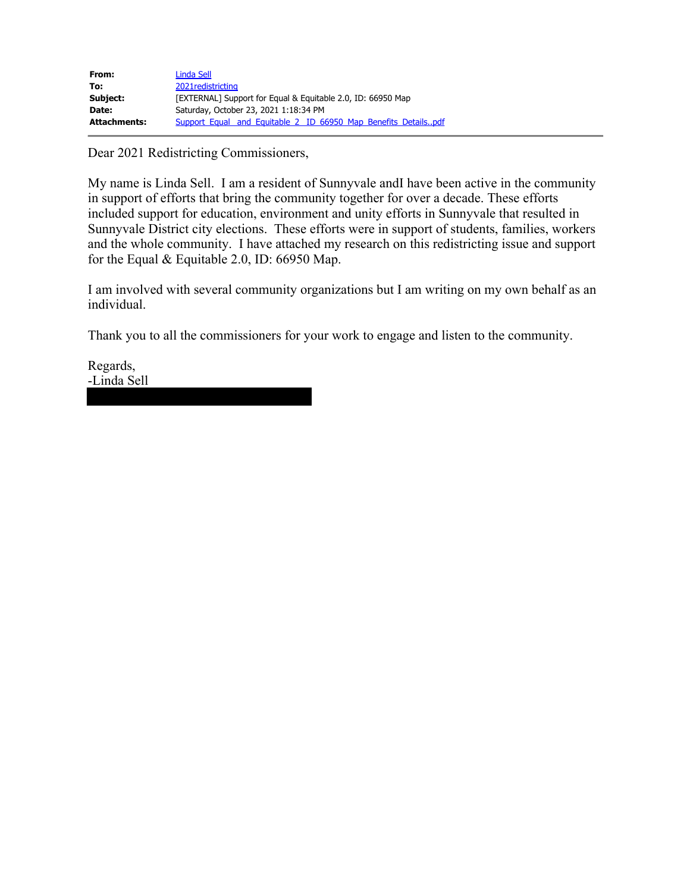| From:               | Linda Sell                                                     |  |  |  |
|---------------------|----------------------------------------------------------------|--|--|--|
| To:                 | 2021 redistricting                                             |  |  |  |
| Subject:            | [EXTERNAL] Support for Equal & Equitable 2.0, ID: 66950 Map    |  |  |  |
| Date:               | Saturday, October 23, 2021 1:18:34 PM                          |  |  |  |
| <b>Attachments:</b> | Support Equal and Equitable 2 ID 66950 Map Benefits Detailspdf |  |  |  |

Dear 2021 Redistricting Commissioners,

My name is Linda Sell. I am a resident of Sunnyvale andI have been active in the community in support of efforts that bring the community together for over a decade. These efforts included support for education, environment and unity efforts in Sunnyvale that resulted in Sunnyvale District city elections. These efforts were in support of students, families, workers and the whole community. I have attached my research on this redistricting issue and support for the Equal & Equitable 2.0, ID: 66950 Map.

I am involved with several community organizations but I am writing on my own behalf as an individual.

Thank you to all the commissioners for your work to engage and listen to the community.

Regards, -Linda Sell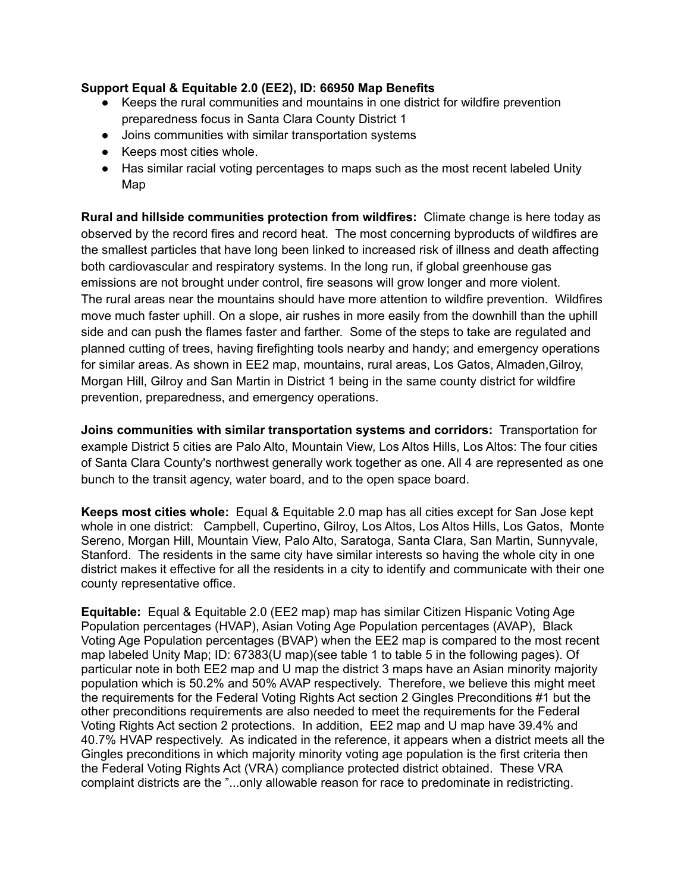### **Support Equal & Equitable 2.0 (EE2), ID: 66950 Map Benefits**

- Keeps the rural communities and mountains in one district for wildfire prevention preparedness focus in Santa Clara County District 1
- Joins communities with similar transportation systems
- Keeps most cities whole.
- Has similar racial voting percentages to maps such as the most recent labeled Unity Map

**Rural and hillside communities protection from wildfires:** Climate change is here today as observed by the record fires and record heat. The most concerning byproducts of wildfires are the smallest particles that have long been linked to increased risk of illness and death affecting both cardiovascular and respiratory systems. In the long run, if global greenhouse gas emissions are not brought under control, fire seasons will grow longer and more violent. The rural areas near the mountains should have more attention to wildfire prevention. Wildfires move much faster uphill. On a slope, air rushes in more easily from the downhill than the uphill side and can push the flames faster and farther. Some of the steps to take are regulated and planned cutting of trees, having firefighting tools nearby and handy; and emergency operations for similar areas. As shown in EE2 map, mountains, rural areas, Los Gatos, Almaden,Gilroy, Morgan Hill, Gilroy and San Martin in District 1 being in the same county district for wildfire prevention, preparedness, and emergency operations.

**Joins communities with similar transportation systems and corridors:** Transportation for example District 5 cities are Palo Alto, Mountain View, Los Altos Hills, Los Altos: The four cities of Santa Clara County's northwest generally work together as one. All 4 are represented as one bunch to the transit agency, water board, and to the open space board.

**Keeps most cities whole:** Equal & Equitable 2.0 map has all cities except for San Jose kept whole in one district: Campbell, Cupertino, Gilroy, Los Altos, Los Altos Hills, Los Gatos, Monte Sereno, Morgan Hill, Mountain View, Palo Alto, Saratoga, Santa Clara, San Martin, Sunnyvale, Stanford. The residents in the same city have similar interests so having the whole city in one district makes it effective for all the residents in a city to identify and communicate with their one county representative office.

**Equitable:** Equal & Equitable 2.0 (EE2 map) map has similar Citizen Hispanic Voting Age Population percentages (HVAP), Asian Voting Age Population percentages (AVAP), Black Voting Age Population percentages (BVAP) when the EE2 map is compared to the most recent map labeled Unity Map; ID: 67383(U map)(see table 1 to table 5 in the following pages). Of particular note in both EE2 map and U map the district 3 maps have an Asian minority majority population which is 50.2% and 50% AVAP respectively. Therefore, we believe this might meet the requirements for the Federal Voting Rights Act section 2 Gingles Preconditions #1 but the other preconditions requirements are also needed to meet the requirements for the Federal Voting Rights Act section 2 protections. In addition, EE2 map and U map have 39.4% and 40.7% HVAP respectively. As indicated in the reference, it appears when a district meets all the Gingles preconditions in which majority minority voting age population is the first criteria then the Federal Voting Rights Act (VRA) compliance protected district obtained. These VRA complaint districts are the "...only allowable reason for race to predominate in redistricting.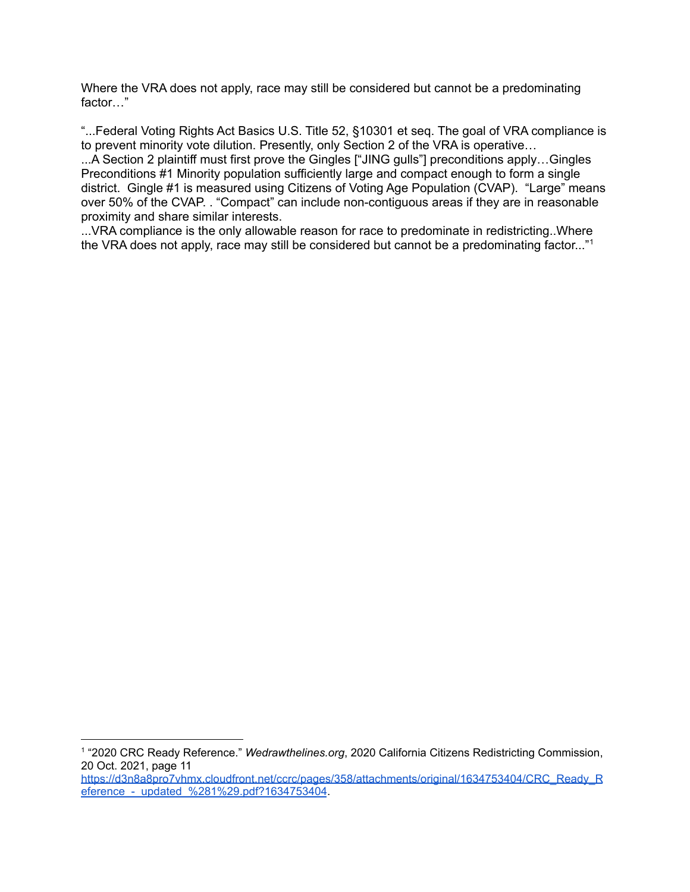Where the VRA does not apply, race may still be considered but cannot be a predominating factor…"

"...Federal Voting Rights Act Basics U.S. Title 52, §10301 et seq. The goal of VRA compliance is to prevent minority vote dilution. Presently, only Section 2 of the VRA is operative…

...A Section 2 plaintiff must first prove the Gingles ["JING gulls"] preconditions apply…Gingles Preconditions #1 Minority population sufficiently large and compact enough to form a single district. Gingle #1 is measured using Citizens of Voting Age Population (CVAP). "Large" means over 50% of the CVAP. . "Compact" can include non-contiguous areas if they are in reasonable proximity and share similar interests.

...VRA compliance is the only allowable reason for race to predominate in redistricting..Where the VRA does not apply, race may still be considered but cannot be a predominating factor..."<sup>1</sup>

<sup>1</sup> "2020 CRC Ready Reference." *Wedrawthelines.org*, 2020 California Citizens Redistricting Commission, 20 Oct. 2021, page 11

https://d3n8a8pro7vhmx.cloudfront.net/ccrc/pages/358/attachments/original/1634753404/CRC\_Ready\_R eference - updated %281%29.pdf?1634753404.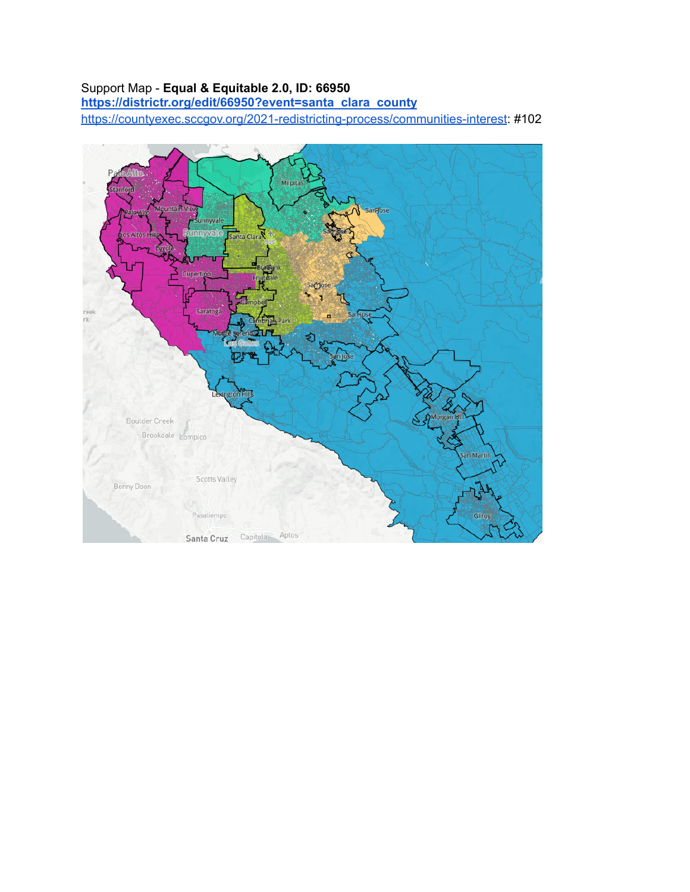#### Support Map - **Equal & Equitable 2.0, ID: 66950**

**https://districtr.org/edit/66950?event=santa clara county**

https://countyexec.sccgov.org/2021-redistricting-process/communities-interest: #102

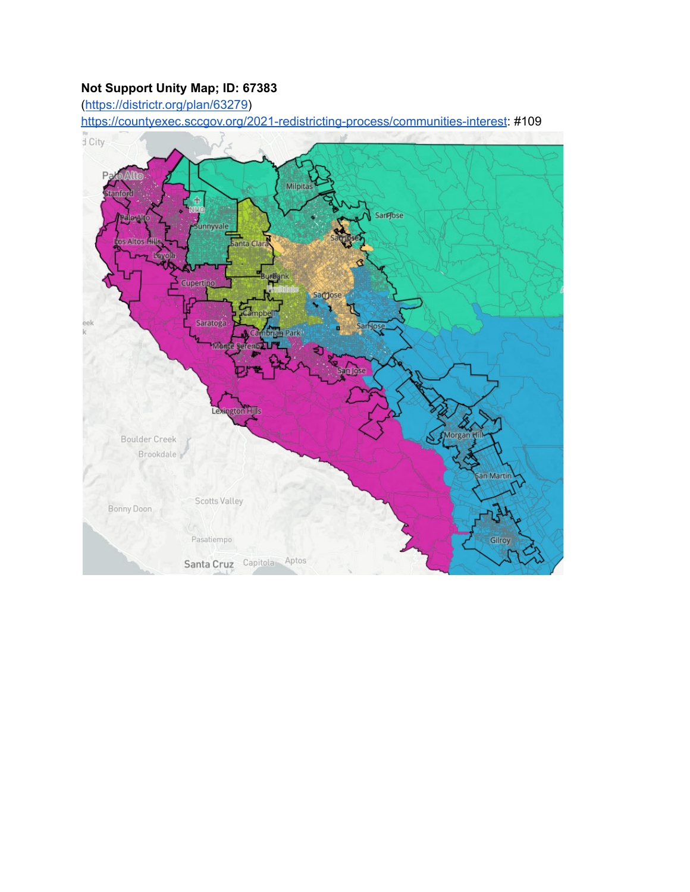# **Not Support Unity Map; ID: 67383**

(https://districtr.org/plan/63279)

https://countyexec.sccgov.org/2021-redistricting-process/communities-interest: #109

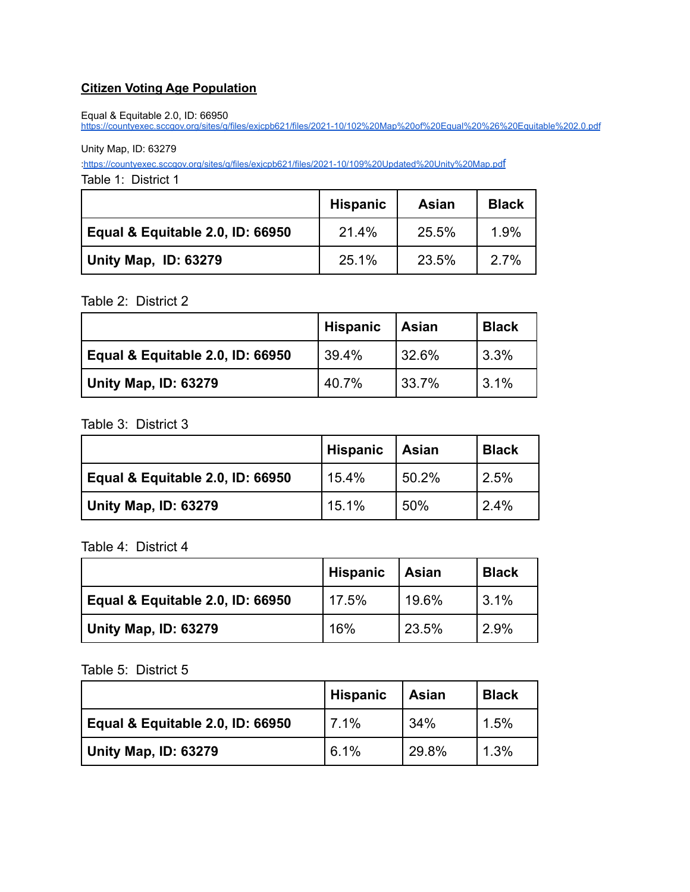## **Citizen Voting Age Population**

Equal & Equitable 2.0, ID: 66950

https://countyexec.sccgov.org/sites/g/files/exjcpb621/files/2021-10/102%20Map%20of%20Equal%20%26%20Equitable%202.0.pdf

Unity Map, ID: 63279

:https://countyexec.sccgov.org/sites/g/files/exjcpb621/files/2021-10/109%20Updated%20Unity%20Map.pdf

Table 1: District 1

|                                  | <b>Hispanic</b> | Asian | <b>Black</b> |
|----------------------------------|-----------------|-------|--------------|
| Equal & Equitable 2.0, ID: 66950 | 21.4%           | 25.5% | 1.9%         |
| Unity Map, ID: 63279             | 25.1%           | 23.5% | $2.7\%$      |

#### Table 2: District 2

|                                  | <b>Hispanic</b> | <b>Asian</b> | <b>Black</b> |
|----------------------------------|-----------------|--------------|--------------|
| Equal & Equitable 2.0, ID: 66950 | 39.4%           | 32.6%        | 13.3%        |
| Unity Map, ID: 63279             | 40.7%           | $33.7\%$     | 13.1%        |

#### Table 3: District 3

|                                  | <b>Hispanic</b> | ∣ Asian | <b>Black</b> |
|----------------------------------|-----------------|---------|--------------|
| Equal & Equitable 2.0, ID: 66950 | 15.4%           | 50.2%   | 2.5%         |
| Unity Map, ID: 63279             | 15.1%           | 50%     | 2.4%         |

Table 4: District 4

|                                  | Hispanic | <b>Asian</b> | <b>Black</b> |
|----------------------------------|----------|--------------|--------------|
| Equal & Equitable 2.0, ID: 66950 | 17.5%    | 19.6%        | 3.1%         |
| Unity Map, ID: 63279             | 16%      | 23.5%        | 2.9%         |

#### Table 5: District 5

|                                  | <b>Hispanic</b> | Asian | <b>Black</b> |
|----------------------------------|-----------------|-------|--------------|
| Equal & Equitable 2.0, ID: 66950 | 7.1%            | 34%   | 1.5%         |
| Unity Map, ID: 63279             | 6.1%            | 29.8% | 1.3%         |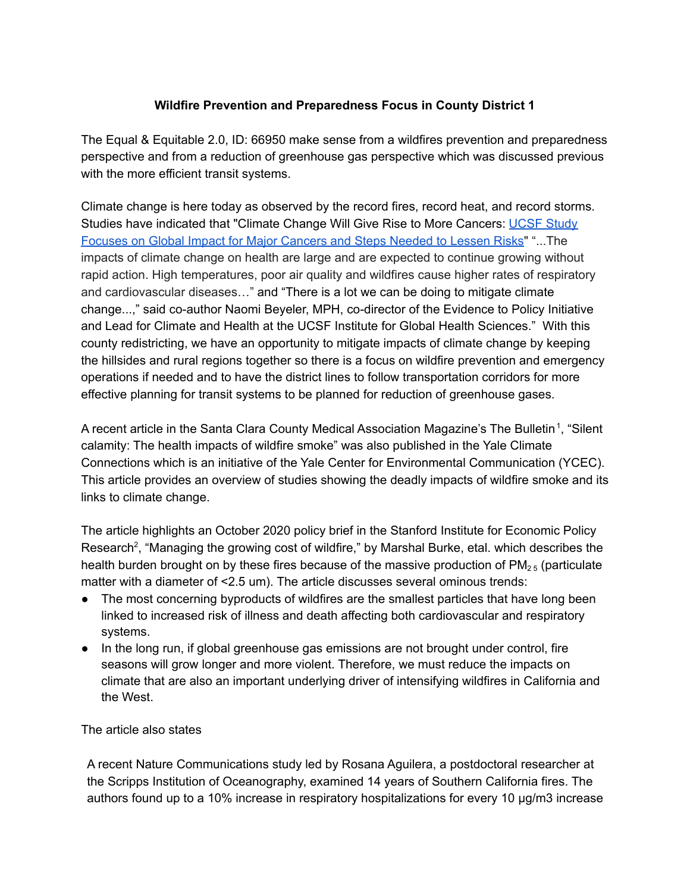## **Wildfire Prevention and Preparedness Focus in County District 1**

The Equal & Equitable 2.0, ID: 66950 make sense from a wildfires prevention and preparedness perspective and from a reduction of greenhouse gas perspective which was discussed previous with the more efficient transit systems.

Climate change is here today as observed by the record fires, record heat, and record storms. Studies have indicated that "Climate Change Will Give Rise to More Cancers: UCSF Study Focuses on Global Impact for Major Cancers and Steps Needed to Lessen Risks" "...The impacts of climate change on health are large and are expected to continue growing without rapid action. High temperatures, poor air quality and wildfires cause higher rates of respiratory and cardiovascular diseases…" and "There is a lot we can be doing to mitigate climate change...," said co-author Naomi Beyeler, MPH, co-director of the Evidence to Policy Initiative and Lead for Climate and Health at the UCSF Institute for Global Health Sciences." With this county redistricting, we have an opportunity to mitigate impacts of climate change by keeping the hillsides and rural regions together so there is a focus on wildfire prevention and emergency operations if needed and to have the district lines to follow transportation corridors for more effective planning for transit systems to be planned for reduction of greenhouse gases.

A recent article in the Santa Clara County Medical Association Magazine's The Bulletin<sup>1</sup>, "Silent calamity: The health impacts of wildfire smoke" was also published in the Yale Climate Connections which is an initiative of the Yale Center for Environmental Communication (YCEC). This article provides an overview of studies showing the deadly impacts of wildfire smoke and its links to climate change.

The article highlights an October 2020 policy brief in the Stanford Institute for Economic Policy Research<sup>2</sup>, "Managing the growing cost of wildfire," by Marshal Burke, etal. which describes the health burden brought on by these fires because of the massive production of  $PM_{2.5}$  (particulate matter with a diameter of <2.5 um). The article discusses several ominous trends:

- The most concerning byproducts of wildfires are the smallest particles that have long been linked to increased risk of illness and death affecting both cardiovascular and respiratory systems.
- In the long run, if global greenhouse gas emissions are not brought under control, fire seasons will grow longer and more violent. Therefore, we must reduce the impacts on climate that are also an important underlying driver of intensifying wildfires in California and the West.

### The article also states

A recent Nature Communications study led by Rosana Aguilera, a postdoctoral researcher at the Scripps Institution of Oceanography, examined 14 years of Southern California fires. The authors found up to a 10% increase in respiratory hospitalizations for every 10 μg/m3 increase